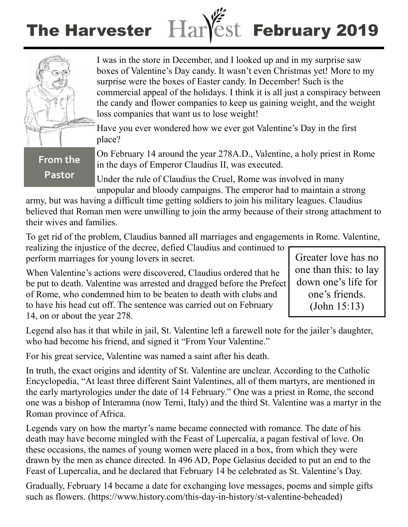# The Harvester Harlest February 2019



**From the** 

**Pastor**

I was in the store in December, and I looked up and in my surprise saw boxes of Valentine's Day candy. It wasn't even Christmas yet! More to my surprise were the boxes of Easter candy. In December! Such is the commercial appeal of the holidays. I think it is all just a conspiracy between the candy and flower companies to keep us gaining weight, and the weight loss companies that want us to lose weight!

Have you ever wondered how we ever got Valentine's Day in the first place?

On February 14 around the year 278A.D., Valentine, a holy priest in Rome in the days of Emperor Claudius II, was executed.

Under the rule of Claudius the Cruel, Rome was involved in many unpopular and bloody campaigns. The emperor had to maintain a strong

army, but was having a difficult time getting soldiers to join his military leagues. Claudius believed that Roman men were unwilling to join the army because of their strong attachment to their wives and families.

To get rid of the problem, Claudius banned all marriages and engagements in Rome. Valentine,

realizing the injustice of the decree, defied Claudius and continued to perform marriages for young lovers in secret.

When Valentine's actions were discovered, Claudius ordered that he be put to death. Valentine was arrested and dragged before the Prefect of Rome, who condemned him to be beaten to death with clubs and to have his head cut off. The sentence was carried out on February 14, on or about the year 278.

Greater love has no one than this: to lay down one's life for one's friends. (John 15:13)

Legend also has it that while in jail, St. Valentine left a farewell note for the jailer's daughter, who had become his friend, and signed it "From Your Valentine."

For his great service, Valentine was named a saint after his death.

In truth, the exact origins and identity of St. Valentine are unclear. According to the Catholic Encyclopedia, "At least three different Saint Valentines, all of them martyrs, are mentioned in the early martyrologies under the date of 14 February." One was a priest in Rome, the second one was a bishop of Interamna (now Terni, Italy) and the third St. Valentine was a martyr in the Roman province of Africa.

Legends vary on how the martyr's name became connected with romance. The date of his death may have become mingled with the Feast of Lupercalia, a pagan festival of love. On these occasions, the names of young women were placed in a box, from which they were drawn by the men as chance directed. In 496 AD, Pope Gelasius decided to put an end to the Feast of Lupercalia, and he declared that February 14 be celebrated as St. Valentine's Day.

Gradually, February 14 became a date for exchanging love messages, poems and simple gifts such as flowers. (https://www.history.com/this-day-in-history/st-valentine-beheaded)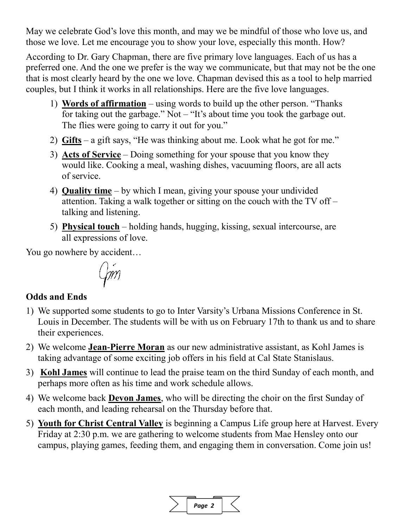May we celebrate God's love this month, and may we be mindful of those who love us, and those we love. Let me encourage you to show your love, especially this month. How?

According to Dr. Gary Chapman, there are five primary love languages. Each of us has a preferred one. And the one we prefer is the way we communicate, but that may not be the one that is most clearly heard by the one we love. Chapman devised this as a tool to help married couples, but I think it works in all relationships. Here are the five love languages.

- 1) **Words of affirmation** using words to build up the other person. "Thanks for taking out the garbage." Not – "It's about time you took the garbage out. The flies were going to carry it out for you."
- 2) **Gifts** a gift says, "He was thinking about me. Look what he got for me."
- 3) **Acts of Service** Doing something for your spouse that you know they would like. Cooking a meal, washing dishes, vacuuming floors, are all acts of service.
- 4) **Quality time** by which I mean, giving your spouse your undivided attention. Taking a walk together or sitting on the couch with the TV off – talking and listening.
- 5) **Physical touch** holding hands, hugging, kissing, sexual intercourse, are all expressions of love.

You go nowhere by accident…

$$
\textit{Gm}
$$

## **Odds and Ends**

- 1) We supported some students to go to Inter Varsity's Urbana Missions Conference in St. Louis in December. The students will be with us on February 17th to thank us and to share their experiences.
- 2) We welcome **Jean-Pierre Moran** as our new administrative assistant, as Kohl James is taking advantage of some exciting job offers in his field at Cal State Stanislaus.
- 3) **Kohl James** will continue to lead the praise team on the third Sunday of each month, and perhaps more often as his time and work schedule allows.
- 4) We welcome back **Devon James**, who will be directing the choir on the first Sunday of each month, and leading rehearsal on the Thursday before that.
- 5) **Youth for Christ Central Valley** is beginning a Campus Life group here at Harvest. Every Friday at 2:30 p.m. we are gathering to welcome students from Mae Hensley onto our campus, playing games, feeding them, and engaging them in conversation. Come join us!

| iae 2 |  |
|-------|--|
|       |  |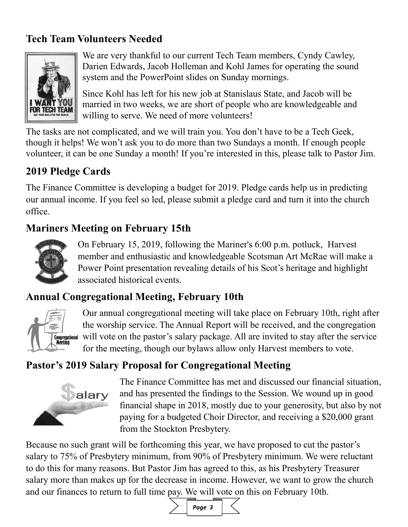## **Tech Team Volunteers Needed**



We are very thankful to our current Tech Team members, Cyndy Cawley, Darien Edwards, Jacob Holleman and Kohl James for operating the sound system and the PowerPoint slides on Sunday mornings.

Since Kohl has left for his new job at Stanislaus State, and Jacob will be married in two weeks, we are short of people who are knowledgeable and willing to serve. We need of more volunteers!

The tasks are not complicated, and we will train you. You don't have to be a Tech Geek, though it helps! We won't ask you to do more than two Sundays a month. If enough people volunteer, it can be one Sunday a month! If you're interested in this, please talk to Pastor Jim.

## **2019 Pledge Cards**

The Finance Committee is developing a budget for 2019. Pledge cards help us in predicting our annual income. If you feel so led, please submit a pledge card and turn it into the church office.

## **Mariners Meeting on February 15th**



On February 15, 2019, following the Mariner's 6:00 p.m. potluck, Harvest member and enthusiastic and knowledgeable Scotsman Art McRae will make a Power Point presentation revealing details of his Scot's heritage and highlight associated historical events.

## **Annual Congregational Meeting, February 10th**



Our annual congregational meeting will take place on February 10th, right after the worship service. The Annual Report will be received, and the congregation Congregational will vote on the pastor's salary package. All are invited to stay after the service for the meeting, though our bylaws allow only Harvest members to vote.

## **Pastor's 2019 Salary Proposal for Congregational Meeting**



The Finance Committee has met and discussed our financial situation, and has presented the findings to the Session. We wound up in good financial shape in 2018, mostly due to your generosity, but also by not paying for a budgeted Choir Director, and receiving a \$20,000 grant from the Stockton Presbytery.

Because no such grant will be forthcoming this year, we have proposed to cut the pastor's salary to 75% of Presbytery minimum, from 90% of Presbytery minimum. We were reluctant to do this for many reasons. But Pastor Jim has agreed to this, as his Presbytery Treasurer salary more than makes up for the decrease in income. However, we want to grow the church and our finances to return to full time pay. We will vote on this on February 10th.

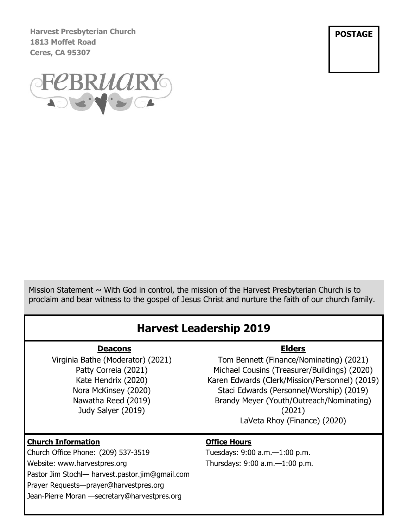**Harvest Presbyterian Church 1813 Moffet Road Ceres, CA 95307**

**POSTAGE**



Mission Statement  $\sim$  With God in control, the mission of the Harvest Presbyterian Church is to proclaim and bear witness to the gospel of Jesus Christ and nurture the faith of our church family.

## **Harvest Leadership 2019**

#### **Deacons**

Virginia Bathe (Moderator) (2021) Patty Correia (2021) Kate Hendrix (2020) Nora McKinsey (2020) Nawatha Reed (2019) Judy Salyer (2019)

### **Elders**

Tom Bennett (Finance/Nominating) (2021) Michael Cousins (Treasurer/Buildings) (2020) Karen Edwards (Clerk/Mission/Personnel) (2019) Staci Edwards (Personnel/Worship) (2019) Brandy Meyer (Youth/Outreach/Nominating) (2021) LaVeta Rhoy (Finance) (2020)

#### **Church Information**

Church Office Phone: (209) 537-3519 Website: www.harvestpres.org Pastor Jim Stochl— harvest.pastor.jim@gmail.com Prayer Requests—prayer@harvestpres.org Jean-Pierre Moran —secretary@harvestpres.org

#### **Office Hours**

Tuesdays: 9:00 a.m.—1:00 p.m. Thursdays: 9:00 a.m.—1:00 p.m.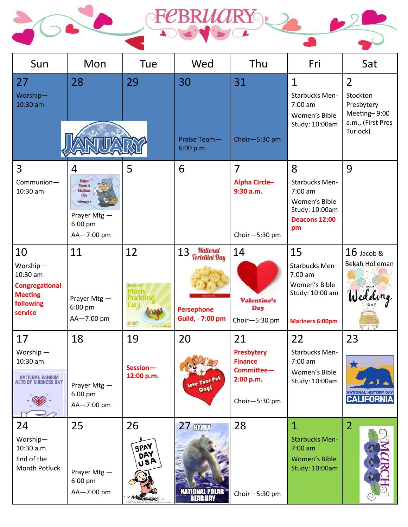



| Sun                                                                                           | Mon                                                                                                   | Tue                                                       | Wed                                                                                     | Thu                                                                            | Fri                                                                                                    | Sat                                                                                       |
|-----------------------------------------------------------------------------------------------|-------------------------------------------------------------------------------------------------------|-----------------------------------------------------------|-----------------------------------------------------------------------------------------|--------------------------------------------------------------------------------|--------------------------------------------------------------------------------------------------------|-------------------------------------------------------------------------------------------|
| 27<br>Worship-<br>10:30 am                                                                    | 28                                                                                                    | 29                                                        | 30<br>Praise Team-<br>6:00 p.m.                                                         | 31<br>Choir-5:30 pm                                                            | $\mathbf{1}$<br><b>Starbucks Men-</b><br>7:00 am<br>Women's Bible<br>Study: 10:00am                    | $\overline{2}$<br>Stockton<br>Presbytery<br>Meeting-9:00<br>a.m., (First Pres<br>Turlock) |
| 3<br>Communion-<br>10:30 am                                                                   | 4<br>Happy<br>Thank A<br>Mailman<br><b>Day</b><br>February 4<br>Prayer Mtg -<br>6:00 pm<br>AA-7:00 pm | 5                                                         | 6                                                                                       | $\overline{7}$<br><b>Alpha Circle-</b><br>9:30 a.m.<br>Choir-5:30 pm           | 8<br><b>Starbucks Men-</b><br>7:00 am<br>Women's Bible<br>Study: 10:00am<br><b>Deacons 12:00</b><br>pm | 9                                                                                         |
| 10<br>Worship-<br>10:30 am<br><b>Congregational</b><br><b>Meeting</b><br>following<br>service | 11<br>Prayer Mtg -<br>6:00 pm<br>AA-7:00 pm                                                           | 12<br><b>EBRUARY 12</b><br>Plum<br>Puddino<br>Day<br>3605 | National<br>13<br><b>Tortellini Day</b><br><b>Persephone</b><br><b>Guild, - 7:00 pm</b> | 14<br><b>Valentine's</b><br><b>Day</b><br>Choir-5:30 pm                        | 15<br>Starbucks Men-<br>7:00 am<br>Women's Bible<br>Study: 10:00 am<br><b>Mariners 6:00pm</b>          | $16$ Jacob &<br>Bekah Holleman<br>Wedding                                                 |
| 17<br>Worship $-$<br>$10:30$ am<br>NATIONAL RANDOM<br>ACTS OF KINDNESS DAY                    | 18<br>Prayer Mtg -<br>6:00 pm<br>AA-7:00 pm                                                           | 19<br>Session-<br>12:00 p.m.                              | 20<br>Love Your Pet<br>Day!                                                             | 21<br>Presbytery<br><b>Finance</b><br>Committee-<br>2:00 p.m.<br>Choir-5:30 pm | 22<br>Starbucks Men-<br>$7:00$ am<br>Women's Bible<br>Study: 10:00am                                   | 23<br>5.3<br><b>NATIONAL HISTORY DAY</b><br><b>CALIFORNIA</b>                             |
| 24<br>Worship-<br>10:30 a.m.<br>End of the<br>Month Potluck                                   | 25<br>Prayer Mtg -<br>6:00 pm<br>AA-7:00 pm                                                           | 26<br>SPAY<br>DAY<br>usA                                  | <b>27 HARRY</b><br>NATIONAL POLAR<br><b>BEAR DAY</b>                                    | 28<br>Choir-5:30 pm                                                            | $\mathbf{1}$<br><b>Starbucks Men-</b><br>$7:00$ am<br><b>Women's Bible</b><br>Study: 10:00am           | $\overline{2}$                                                                            |